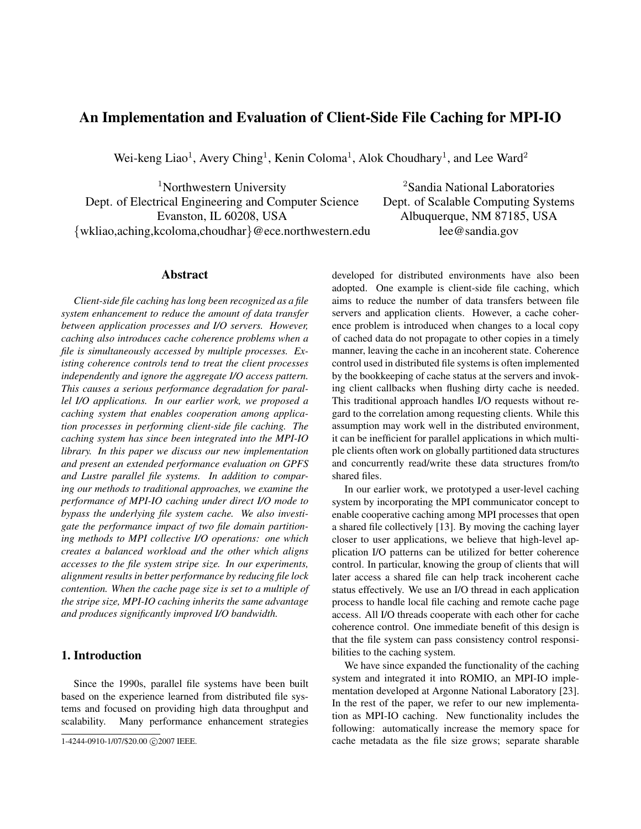# **An Implementation and Evaluation of Client-Side File Caching for MPI-IO**

Wei-keng Liao<sup>1</sup>, Avery Ching<sup>1</sup>, Kenin Coloma<sup>1</sup>, Alok Choudhary<sup>1</sup>, and Lee Ward<sup>2</sup>

<sup>1</sup>Northwestern University <sup>2</sup>Sandia National Laboratories Dept. of Electrical Engineering and Computer Science Dept. of Scalable Computing Systems Evanston, IL 60208, USA Albuquerque, NM 87185, USA *{*wkliao,aching,kcoloma,choudhar*}*@ece.northwestern.edu lee@sandia.gov

# **Abstract**

*Client-side file caching has long been recognized as a file system enhancement to reduce the amount of data transfer between application processes and I/O servers. However, caching also introduces cache coherence problems when a file is simultaneously accessed by multiple processes. Existing coherence controls tend to treat the client processes independently and ignore the aggregate I/O access pattern. This causes a serious performance degradation for parallel I/O applications. In our earlier work, we proposed a caching system that enables cooperation among application processes in performing client-side file caching. The caching system has since been integrated into the MPI-IO library. In this paper we discuss our new implementation and present an extended performance evaluation on GPFS and Lustre parallel file systems. In addition to comparing our methods to traditional approaches, we examine the performance of MPI-IO caching under direct I/O mode to bypass the underlying file system cache. We also investigate the performance impact of two file domain partitioning methods to MPI collective I/O operations: one which creates a balanced workload and the other which aligns accesses to the file system stripe size. In our experiments, alignment results in better performance by reducing file lock contention. When the cache page size is set to a multiple of the stripe size, MPI-IO caching inherits the same advantage and produces significantly improved I/O bandwidth.*

# **1. Introduction**

Since the 1990s, parallel file systems have been built based on the experience learned from distributed file systems and focused on providing high data throughput and scalability. Many performance enhancement strategies

developed for distributed environments have also been adopted. One example is client-side file caching, which aims to reduce the number of data transfers between file servers and application clients. However, a cache coherence problem is introduced when changes to a local copy of cached data do not propagate to other copies in a timely manner, leaving the cache in an incoherent state. Coherence control used in distributed file systems is often implemented by the bookkeeping of cache status at the servers and invoking client callbacks when flushing dirty cache is needed. This traditional approach handles I/O requests without regard to the correlation among requesting clients. While this assumption may work well in the distributed environment, it can be inefficient for parallel applications in which multiple clients often work on globally partitioned data structures and concurrently read/write these data structures from/to shared files.

In our earlier work, we prototyped a user-level caching system by incorporating the MPI communicator concept to enable cooperative caching among MPI processes that open a shared file collectively [13]. By moving the caching layer closer to user applications, we believe that high-level application I/O patterns can be utilized for better coherence control. In particular, knowing the group of clients that will later access a shared file can help track incoherent cache status effectively. We use an I/O thread in each application process to handle local file caching and remote cache page access. All I/O threads cooperate with each other for cache coherence control. One immediate benefit of this design is that the file system can pass consistency control responsibilities to the caching system.

We have since expanded the functionality of the caching system and integrated it into ROMIO, an MPI-IO implementation developed at Argonne National Laboratory [23]. In the rest of the paper, we refer to our new implementation as MPI-IO caching. New functionality includes the following: automatically increase the memory space for cache metadata as the file size grows; separate sharable

<sup>1-4244-0910-1/07/\$20.00 @2007</sup> IEEE.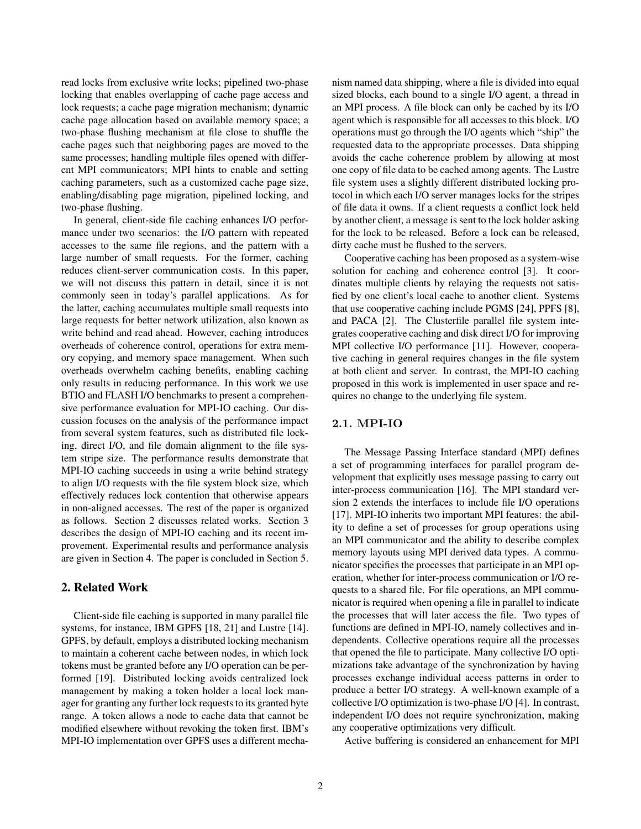read locks from exclusive write locks; pipelined two-phase locking that enables overlapping of cache page access and lock requests; a cache page migration mechanism; dynamic cache page allocation based on available memory space; a two-phase flushing mechanism at file close to shuffle the cache pages such that neighboring pages are moved to the same processes; handling multiple files opened with different MPI communicators; MPI hints to enable and setting caching parameters, such as a customized cache page size, enabling/disabling page migration, pipelined locking, and two-phase flushing.

In general, client-side file caching enhances I/O performance under two scenarios: the I/O pattern with repeated accesses to the same file regions, and the pattern with a large number of small requests. For the former, caching reduces client-server communication costs. In this paper, we will not discuss this pattern in detail, since it is not commonly seen in today's parallel applications. As for the latter, caching accumulates multiple small requests into large requests for better network utilization, also known as write behind and read ahead. However, caching introduces overheads of coherence control, operations for extra memory copying, and memory space management. When such overheads overwhelm caching benefits, enabling caching only results in reducing performance. In this work we use BTIO and FLASH I/O benchmarks to present a comprehensive performance evaluation for MPI-IO caching. Our discussion focuses on the analysis of the performance impact from several system features, such as distributed file locking, direct I/O, and file domain alignment to the file system stripe size. The performance results demonstrate that MPI-IO caching succeeds in using a write behind strategy to align I/O requests with the file system block size, which effectively reduces lock contention that otherwise appears in non-aligned accesses. The rest of the paper is organized as follows. Section 2 discusses related works. Section 3 describes the design of MPI-IO caching and its recent improvement. Experimental results and performance analysis are given in Section 4. The paper is concluded in Section 5.

# **2. Related Work**

Client-side file caching is supported in many parallel file systems, for instance, IBM GPFS [18, 21] and Lustre [14]. GPFS, by default, employs a distributed locking mechanism to maintain a coherent cache between nodes, in which lock tokens must be granted before any I/O operation can be performed [19]. Distributed locking avoids centralized lock management by making a token holder a local lock manager for granting any further lock requests to its granted byte range. A token allows a node to cache data that cannot be modified elsewhere without revoking the token first. IBM's MPI-IO implementation over GPFS uses a different mechanism named data shipping, where a file is divided into equal sized blocks, each bound to a single I/O agent, a thread in an MPI process. A file block can only be cached by its I/O agent which is responsible for all accesses to this block. I/O operations must go through the I/O agents which "ship" the requested data to the appropriate processes. Data shipping avoids the cache coherence problem by allowing at most one copy of file data to be cached among agents. The Lustre file system uses a slightly different distributed locking protocol in which each I/O server manages locks for the stripes of file data it owns. If a client requests a conflict lock held by another client, a message is sent to the lock holder asking for the lock to be released. Before a lock can be released, dirty cache must be flushed to the servers.

Cooperative caching has been proposed as a system-wise solution for caching and coherence control [3]. It coordinates multiple clients by relaying the requests not satisfied by one client's local cache to another client. Systems that use cooperative caching include PGMS [24], PPFS [8], and PACA [2]. The Clusterfile parallel file system integrates cooperative caching and disk direct I/O for improving MPI collective I/O performance [11]. However, cooperative caching in general requires changes in the file system at both client and server. In contrast, the MPI-IO caching proposed in this work is implemented in user space and requires no change to the underlying file system.

#### **2.1. MPI-IO**

The Message Passing Interface standard (MPI) defines a set of programming interfaces for parallel program development that explicitly uses message passing to carry out inter-process communication [16]. The MPI standard version 2 extends the interfaces to include file I/O operations [17]. MPI-IO inherits two important MPI features: the ability to define a set of processes for group operations using an MPI communicator and the ability to describe complex memory layouts using MPI derived data types. A communicator specifies the processes that participate in an MPI operation, whether for inter-process communication or I/O requests to a shared file. For file operations, an MPI communicator is required when opening a file in parallel to indicate the processes that will later access the file. Two types of functions are defined in MPI-IO, namely collectives and independents. Collective operations require all the processes that opened the file to participate. Many collective I/O optimizations take advantage of the synchronization by having processes exchange individual access patterns in order to produce a better I/O strategy. A well-known example of a collective I/O optimization is two-phase I/O [4]. In contrast, independent I/O does not require synchronization, making any cooperative optimizations very difficult.

Active buffering is considered an enhancement for MPI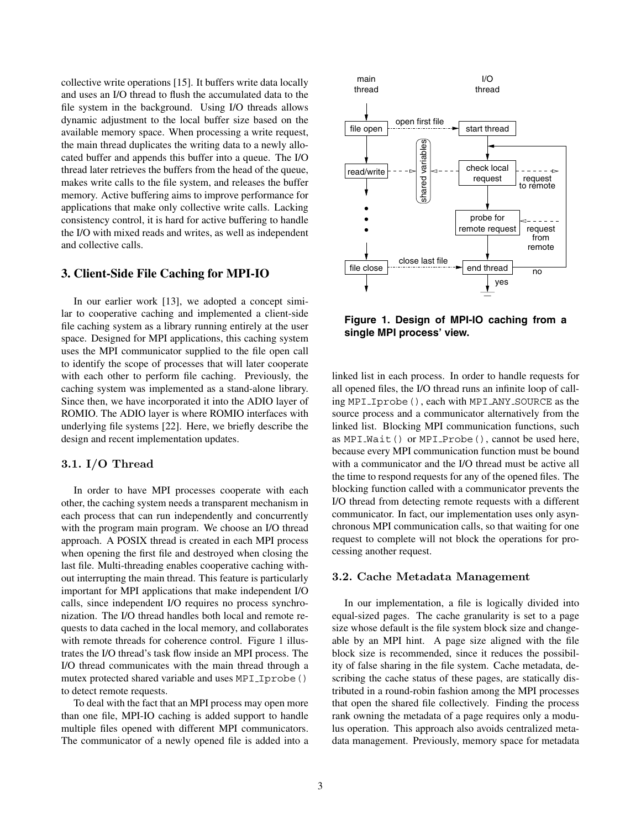collective write operations [15]. It buffers write data locally and uses an I/O thread to flush the accumulated data to the file system in the background. Using I/O threads allows dynamic adjustment to the local buffer size based on the available memory space. When processing a write request, the main thread duplicates the writing data to a newly allocated buffer and appends this buffer into a queue. The I/O thread later retrieves the buffers from the head of the queue, makes write calls to the file system, and releases the buffer memory. Active buffering aims to improve performance for applications that make only collective write calls. Lacking consistency control, it is hard for active buffering to handle the I/O with mixed reads and writes, as well as independent and collective calls.

### **3. Client-Side File Caching for MPI-IO**

In our earlier work [13], we adopted a concept similar to cooperative caching and implemented a client-side file caching system as a library running entirely at the user space. Designed for MPI applications, this caching system uses the MPI communicator supplied to the file open call to identify the scope of processes that will later cooperate with each other to perform file caching. Previously, the caching system was implemented as a stand-alone library. Since then, we have incorporated it into the ADIO layer of ROMIO. The ADIO layer is where ROMIO interfaces with underlying file systems [22]. Here, we briefly describe the design and recent implementation updates.

#### **3.1. I/O Thread**

In order to have MPI processes cooperate with each other, the caching system needs a transparent mechanism in each process that can run independently and concurrently with the program main program. We choose an I/O thread approach. A POSIX thread is created in each MPI process when opening the first file and destroyed when closing the last file. Multi-threading enables cooperative caching without interrupting the main thread. This feature is particularly important for MPI applications that make independent I/O calls, since independent I/O requires no process synchronization. The I/O thread handles both local and remote requests to data cached in the local memory, and collaborates with remote threads for coherence control. Figure 1 illustrates the I/O thread's task flow inside an MPI process. The I/O thread communicates with the main thread through a mutex protected shared variable and uses MPI Iprobe() to detect remote requests.

To deal with the fact that an MPI process may open more than one file, MPI-IO caching is added support to handle multiple files opened with different MPI communicators. The communicator of a newly opened file is added into a



**Figure 1. Design of MPI-IO caching from a single MPI process' view.**

linked list in each process. In order to handle requests for all opened files, the I/O thread runs an infinite loop of calling MPI Iprobe(), each with MPI ANY SOURCE as the source process and a communicator alternatively from the linked list. Blocking MPI communication functions, such as MPI Wait() or MPI Probe(), cannot be used here, because every MPI communication function must be bound with a communicator and the I/O thread must be active all the time to respond requests for any of the opened files. The blocking function called with a communicator prevents the I/O thread from detecting remote requests with a different communicator. In fact, our implementation uses only asynchronous MPI communication calls, so that waiting for one request to complete will not block the operations for processing another request.

#### **3.2. Cache Metadata Management**

In our implementation, a file is logically divided into equal-sized pages. The cache granularity is set to a page size whose default is the file system block size and changeable by an MPI hint. A page size aligned with the file block size is recommended, since it reduces the possibility of false sharing in the file system. Cache metadata, describing the cache status of these pages, are statically distributed in a round-robin fashion among the MPI processes that open the shared file collectively. Finding the process rank owning the metadata of a page requires only a modulus operation. This approach also avoids centralized metadata management. Previously, memory space for metadata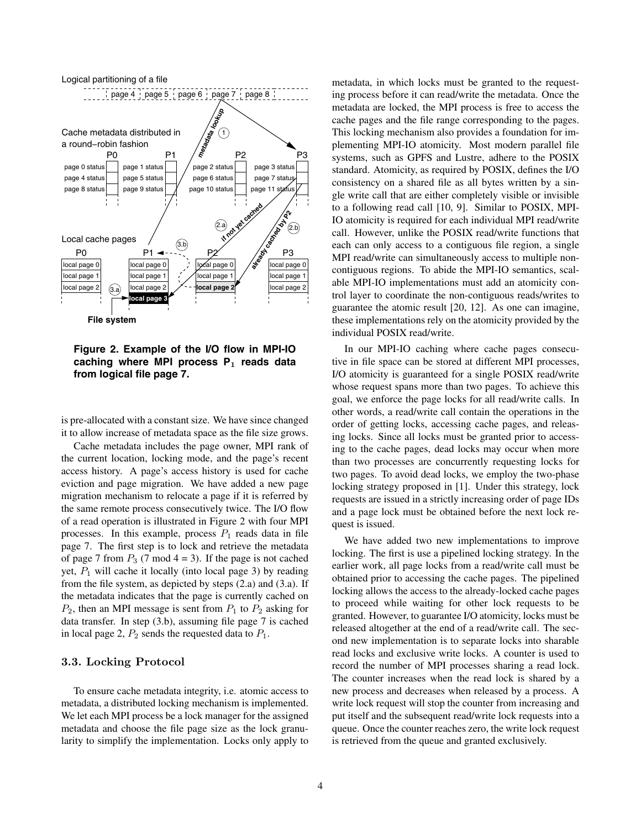

**Figure 2. Example of the I/O flow in MPI-IO caching where MPI process P<sup>1</sup> reads data from logical file page 7.**

is pre-allocated with a constant size. We have since changed it to allow increase of metadata space as the file size grows.

Cache metadata includes the page owner, MPI rank of the current location, locking mode, and the page's recent access history. A page's access history is used for cache eviction and page migration. We have added a new page migration mechanism to relocate a page if it is referred by the same remote process consecutively twice. The I/O flow of a read operation is illustrated in Figure 2 with four MPI processes. In this example, process  $P_1$  reads data in file page 7. The first step is to lock and retrieve the metadata of page 7 from  $P_3$  (7 mod 4 = 3). If the page is not cached yet,  $P_1$  will cache it locally (into local page 3) by reading from the file system, as depicted by steps (2.a) and (3.a). If the metadata indicates that the page is currently cached on *P*2, then an MPI message is sent from *P*<sup>1</sup> to *P*<sup>2</sup> asking for data transfer. In step (3.b), assuming file page 7 is cached in local page 2,  $P_2$  sends the requested data to  $P_1$ .

# **3.3. Locking Protocol**

To ensure cache metadata integrity, i.e. atomic access to metadata, a distributed locking mechanism is implemented. We let each MPI process be a lock manager for the assigned metadata and choose the file page size as the lock granularity to simplify the implementation. Locks only apply to

metadata, in which locks must be granted to the requesting process before it can read/write the metadata. Once the metadata are locked, the MPI process is free to access the cache pages and the file range corresponding to the pages. This locking mechanism also provides a foundation for implementing MPI-IO atomicity. Most modern parallel file systems, such as GPFS and Lustre, adhere to the POSIX standard. Atomicity, as required by POSIX, defines the I/O consistency on a shared file as all bytes written by a single write call that are either completely visible or invisible to a following read call [10, 9]. Similar to POSIX, MPI-IO atomicity is required for each individual MPI read/write call. However, unlike the POSIX read/write functions that each can only access to a contiguous file region, a single MPI read/write can simultaneously access to multiple noncontiguous regions. To abide the MPI-IO semantics, scalable MPI-IO implementations must add an atomicity control layer to coordinate the non-contiguous reads/writes to guarantee the atomic result [20, 12]. As one can imagine, these implementations rely on the atomicity provided by the individual POSIX read/write.

In our MPI-IO caching where cache pages consecutive in file space can be stored at different MPI processes, I/O atomicity is guaranteed for a single POSIX read/write whose request spans more than two pages. To achieve this goal, we enforce the page locks for all read/write calls. In other words, a read/write call contain the operations in the order of getting locks, accessing cache pages, and releasing locks. Since all locks must be granted prior to accessing to the cache pages, dead locks may occur when more than two processes are concurrently requesting locks for two pages. To avoid dead locks, we employ the two-phase locking strategy proposed in [1]. Under this strategy, lock requests are issued in a strictly increasing order of page IDs and a page lock must be obtained before the next lock request is issued.

We have added two new implementations to improve locking. The first is use a pipelined locking strategy. In the earlier work, all page locks from a read/write call must be obtained prior to accessing the cache pages. The pipelined locking allows the access to the already-locked cache pages to proceed while waiting for other lock requests to be granted. However, to guarantee I/O atomicity, locks must be released altogether at the end of a read/write call. The second new implementation is to separate locks into sharable read locks and exclusive write locks. A counter is used to record the number of MPI processes sharing a read lock. The counter increases when the read lock is shared by a new process and decreases when released by a process. A write lock request will stop the counter from increasing and put itself and the subsequent read/write lock requests into a queue. Once the counter reaches zero, the write lock request is retrieved from the queue and granted exclusively.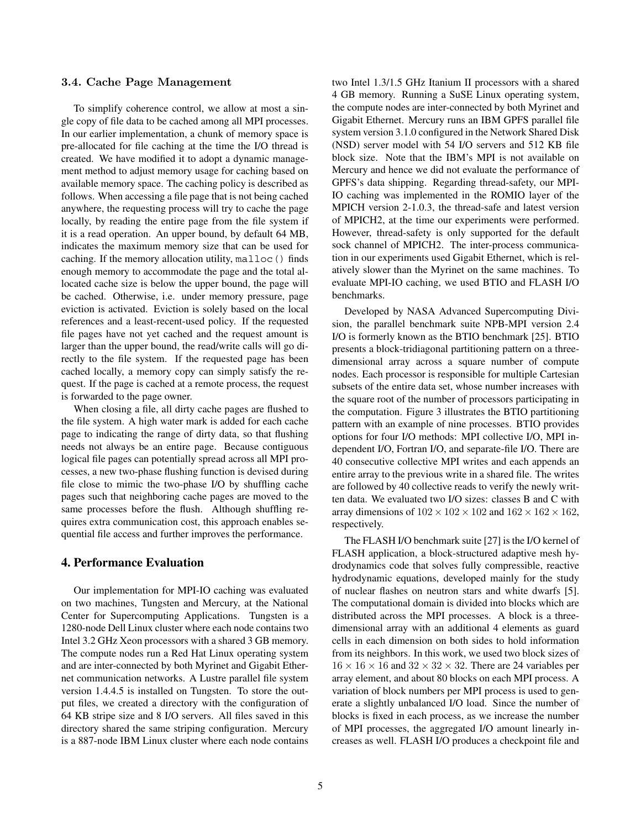#### **3.4. Cache Page Management**

To simplify coherence control, we allow at most a single copy of file data to be cached among all MPI processes. In our earlier implementation, a chunk of memory space is pre-allocated for file caching at the time the I/O thread is created. We have modified it to adopt a dynamic management method to adjust memory usage for caching based on available memory space. The caching policy is described as follows. When accessing a file page that is not being cached anywhere, the requesting process will try to cache the page locally, by reading the entire page from the file system if it is a read operation. An upper bound, by default 64 MB, indicates the maximum memory size that can be used for caching. If the memory allocation utility, malloc() finds enough memory to accommodate the page and the total allocated cache size is below the upper bound, the page will be cached. Otherwise, i.e. under memory pressure, page eviction is activated. Eviction is solely based on the local references and a least-recent-used policy. If the requested file pages have not yet cached and the request amount is larger than the upper bound, the read/write calls will go directly to the file system. If the requested page has been cached locally, a memory copy can simply satisfy the request. If the page is cached at a remote process, the request is forwarded to the page owner.

When closing a file, all dirty cache pages are flushed to the file system. A high water mark is added for each cache page to indicating the range of dirty data, so that flushing needs not always be an entire page. Because contiguous logical file pages can potentially spread across all MPI processes, a new two-phase flushing function is devised during file close to mimic the two-phase I/O by shuffling cache pages such that neighboring cache pages are moved to the same processes before the flush. Although shuffling requires extra communication cost, this approach enables sequential file access and further improves the performance.

#### **4. Performance Evaluation**

Our implementation for MPI-IO caching was evaluated on two machines, Tungsten and Mercury, at the National Center for Supercomputing Applications. Tungsten is a 1280-node Dell Linux cluster where each node contains two Intel 3.2 GHz Xeon processors with a shared 3 GB memory. The compute nodes run a Red Hat Linux operating system and are inter-connected by both Myrinet and Gigabit Ethernet communication networks. A Lustre parallel file system version 1.4.4.5 is installed on Tungsten. To store the output files, we created a directory with the configuration of 64 KB stripe size and 8 I/O servers. All files saved in this directory shared the same striping configuration. Mercury is a 887-node IBM Linux cluster where each node contains

two Intel 1.3/1.5 GHz Itanium II processors with a shared 4 GB memory. Running a SuSE Linux operating system, the compute nodes are inter-connected by both Myrinet and Gigabit Ethernet. Mercury runs an IBM GPFS parallel file system version 3.1.0 configured in the Network Shared Disk (NSD) server model with 54 I/O servers and 512 KB file block size. Note that the IBM's MPI is not available on Mercury and hence we did not evaluate the performance of GPFS's data shipping. Regarding thread-safety, our MPI-IO caching was implemented in the ROMIO layer of the MPICH version 2-1.0.3, the thread-safe and latest version of MPICH2, at the time our experiments were performed. However, thread-safety is only supported for the default sock channel of MPICH2. The inter-process communication in our experiments used Gigabit Ethernet, which is relatively slower than the Myrinet on the same machines. To evaluate MPI-IO caching, we used BTIO and FLASH I/O benchmarks.

Developed by NASA Advanced Supercomputing Division, the parallel benchmark suite NPB-MPI version 2.4 I/O is formerly known as the BTIO benchmark [25]. BTIO presents a block-tridiagonal partitioning pattern on a threedimensional array across a square number of compute nodes. Each processor is responsible for multiple Cartesian subsets of the entire data set, whose number increases with the square root of the number of processors participating in the computation. Figure 3 illustrates the BTIO partitioning pattern with an example of nine processes. BTIO provides options for four I/O methods: MPI collective I/O, MPI independent I/O, Fortran I/O, and separate-file I/O. There are 40 consecutive collective MPI writes and each appends an entire array to the previous write in a shared file. The writes are followed by 40 collective reads to verify the newly written data. We evaluated two I/O sizes: classes B and C with array dimensions of  $102 \times 102 \times 102$  and  $162 \times 162 \times 162$ , respectively.

The FLASH I/O benchmark suite [27] is the I/O kernel of FLASH application, a block-structured adaptive mesh hydrodynamics code that solves fully compressible, reactive hydrodynamic equations, developed mainly for the study of nuclear flashes on neutron stars and white dwarfs [5]. The computational domain is divided into blocks which are distributed across the MPI processes. A block is a threedimensional array with an additional 4 elements as guard cells in each dimension on both sides to hold information from its neighbors. In this work, we used two block sizes of  $16 \times 16 \times 16$  and  $32 \times 32 \times 32$ . There are 24 variables per array element, and about 80 blocks on each MPI process. A variation of block numbers per MPI process is used to generate a slightly unbalanced I/O load. Since the number of blocks is fixed in each process, as we increase the number of MPI processes, the aggregated I/O amount linearly increases as well. FLASH I/O produces a checkpoint file and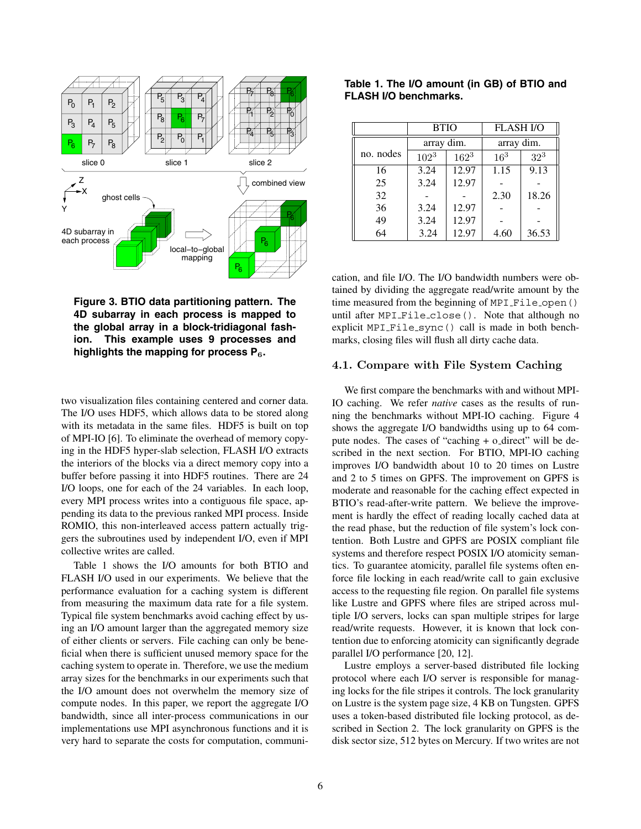

**Figure 3. BTIO data partitioning pattern. The 4D subarray in each process is mapped to the global array in a block-tridiagonal fashion. This example uses 9 processes and highlights the mapping for process P6.**

two visualization files containing centered and corner data. The I/O uses HDF5, which allows data to be stored along with its metadata in the same files. HDF5 is built on top of MPI-IO [6]. To eliminate the overhead of memory copying in the HDF5 hyper-slab selection, FLASH I/O extracts the interiors of the blocks via a direct memory copy into a buffer before passing it into HDF5 routines. There are 24 I/O loops, one for each of the 24 variables. In each loop, every MPI process writes into a contiguous file space, appending its data to the previous ranked MPI process. Inside ROMIO, this non-interleaved access pattern actually triggers the subroutines used by independent I/O, even if MPI collective writes are called.

Table 1 shows the I/O amounts for both BTIO and FLASH I/O used in our experiments. We believe that the performance evaluation for a caching system is different from measuring the maximum data rate for a file system. Typical file system benchmarks avoid caching effect by using an I/O amount larger than the aggregated memory size of either clients or servers. File caching can only be beneficial when there is sufficient unused memory space for the caching system to operate in. Therefore, we use the medium array sizes for the benchmarks in our experiments such that the I/O amount does not overwhelm the memory size of compute nodes. In this paper, we report the aggregate I/O bandwidth, since all inter-process communications in our implementations use MPI asynchronous functions and it is very hard to separate the costs for computation, communi-

**Table 1. The I/O amount (in GB) of BTIO and FLASH I/O benchmarks.**

|           | <b>BTIO</b> |         | <b>FLASH I/O</b> |          |
|-----------|-------------|---------|------------------|----------|
|           | array dim.  |         | array dim.       |          |
| no. nodes | $102^{3}$   | $162^3$ | $16^{3}$         | $32^{3}$ |
| 16        | 3.24        | 12.97   | 1.15             | 9.13     |
| 25        | 3.24        | 12.97   |                  |          |
| 32        |             |         | 2.30             | 18.26    |
| 36        | 3.24        | 12.97   |                  |          |
| 49        | 3.24        | 12.97   |                  |          |
| 64        | 3.24        | 12.97   | 4.60             | 36.53    |

cation, and file I/O. The I/O bandwidth numbers were obtained by dividing the aggregate read/write amount by the time measured from the beginning of MPI\_File\_open() until after MPI File close(). Note that although no explicit MPI File sync() call is made in both benchmarks, closing files will flush all dirty cache data.

#### **4.1. Compare with File System Caching**

We first compare the benchmarks with and without MPI-IO caching. We refer *native* cases as the results of running the benchmarks without MPI-IO caching. Figure 4 shows the aggregate I/O bandwidths using up to 64 compute nodes. The cases of "caching  $+$  o\_direct" will be described in the next section. For BTIO, MPI-IO caching improves I/O bandwidth about 10 to 20 times on Lustre and 2 to 5 times on GPFS. The improvement on GPFS is moderate and reasonable for the caching effect expected in BTIO's read-after-write pattern. We believe the improvement is hardly the effect of reading locally cached data at the read phase, but the reduction of file system's lock contention. Both Lustre and GPFS are POSIX compliant file systems and therefore respect POSIX I/O atomicity semantics. To guarantee atomicity, parallel file systems often enforce file locking in each read/write call to gain exclusive access to the requesting file region. On parallel file systems like Lustre and GPFS where files are striped across multiple I/O servers, locks can span multiple stripes for large read/write requests. However, it is known that lock contention due to enforcing atomicity can significantly degrade parallel I/O performance [20, 12].

Lustre employs a server-based distributed file locking protocol where each I/O server is responsible for managing locks for the file stripes it controls. The lock granularity on Lustre is the system page size, 4 KB on Tungsten. GPFS uses a token-based distributed file locking protocol, as described in Section 2. The lock granularity on GPFS is the disk sector size, 512 bytes on Mercury. If two writes are not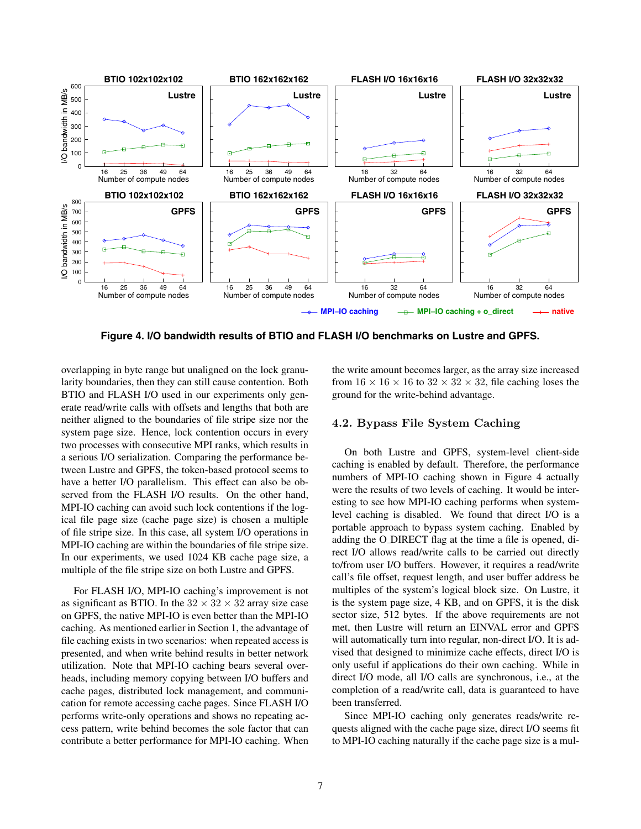

**Figure 4. I/O bandwidth results of BTIO and FLASH I/O benchmarks on Lustre and GPFS.**

overlapping in byte range but unaligned on the lock granularity boundaries, then they can still cause contention. Both BTIO and FLASH I/O used in our experiments only generate read/write calls with offsets and lengths that both are neither aligned to the boundaries of file stripe size nor the system page size. Hence, lock contention occurs in every two processes with consecutive MPI ranks, which results in a serious I/O serialization. Comparing the performance between Lustre and GPFS, the token-based protocol seems to have a better I/O parallelism. This effect can also be observed from the FLASH I/O results. On the other hand, MPI-IO caching can avoid such lock contentions if the logical file page size (cache page size) is chosen a multiple of file stripe size. In this case, all system I/O operations in MPI-IO caching are within the boundaries of file stripe size. In our experiments, we used 1024 KB cache page size, a multiple of the file stripe size on both Lustre and GPFS.

For FLASH I/O, MPI-IO caching's improvement is not as significant as BTIO. In the  $32 \times 32 \times 32$  array size case on GPFS, the native MPI-IO is even better than the MPI-IO caching. As mentioned earlier in Section 1, the advantage of file caching exists in two scenarios: when repeated access is presented, and when write behind results in better network utilization. Note that MPI-IO caching bears several overheads, including memory copying between I/O buffers and cache pages, distributed lock management, and communication for remote accessing cache pages. Since FLASH I/O performs write-only operations and shows no repeating access pattern, write behind becomes the sole factor that can contribute a better performance for MPI-IO caching. When the write amount becomes larger, as the array size increased from  $16 \times 16 \times 16$  to  $32 \times 32 \times 32$ , file caching loses the ground for the write-behind advantage.

# **4.2. Bypass File System Caching**

On both Lustre and GPFS, system-level client-side caching is enabled by default. Therefore, the performance numbers of MPI-IO caching shown in Figure 4 actually were the results of two levels of caching. It would be interesting to see how MPI-IO caching performs when systemlevel caching is disabled. We found that direct I/O is a portable approach to bypass system caching. Enabled by adding the O DIRECT flag at the time a file is opened, direct I/O allows read/write calls to be carried out directly to/from user I/O buffers. However, it requires a read/write call's file offset, request length, and user buffer address be multiples of the system's logical block size. On Lustre, it is the system page size, 4 KB, and on GPFS, it is the disk sector size, 512 bytes. If the above requirements are not met, then Lustre will return an EINVAL error and GPFS will automatically turn into regular, non-direct I/O. It is advised that designed to minimize cache effects, direct I/O is only useful if applications do their own caching. While in direct I/O mode, all I/O calls are synchronous, i.e., at the completion of a read/write call, data is guaranteed to have been transferred.

Since MPI-IO caching only generates reads/write requests aligned with the cache page size, direct I/O seems fit to MPI-IO caching naturally if the cache page size is a mul-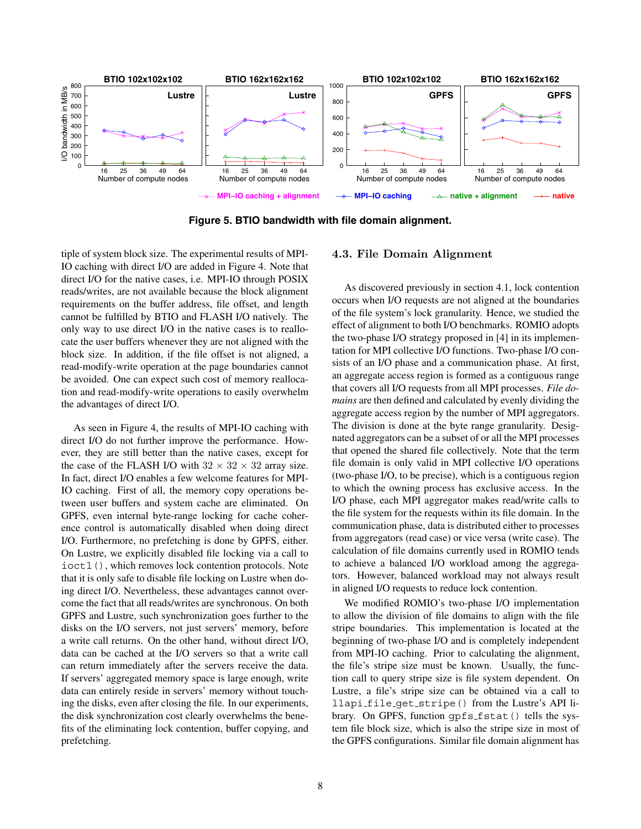

**Figure 5. BTIO bandwidth with file domain alignment.**

tiple of system block size. The experimental results of MPI-IO caching with direct I/O are added in Figure 4. Note that direct I/O for the native cases, i.e. MPI-IO through POSIX reads/writes, are not available because the block alignment requirements on the buffer address, file offset, and length cannot be fulfilled by BTIO and FLASH I/O natively. The only way to use direct I/O in the native cases is to reallocate the user buffers whenever they are not aligned with the block size. In addition, if the file offset is not aligned, a read-modify-write operation at the page boundaries cannot be avoided. One can expect such cost of memory reallocation and read-modify-write operations to easily overwhelm the advantages of direct I/O.

As seen in Figure 4, the results of MPI-IO caching with direct I/O do not further improve the performance. However, they are still better than the native cases, except for the case of the FLASH I/O with  $32 \times 32 \times 32$  array size. In fact, direct I/O enables a few welcome features for MPI-IO caching. First of all, the memory copy operations between user buffers and system cache are eliminated. On GPFS, even internal byte-range locking for cache coherence control is automatically disabled when doing direct I/O. Furthermore, no prefetching is done by GPFS, either. On Lustre, we explicitly disabled file locking via a call to ioctl(), which removes lock contention protocols. Note that it is only safe to disable file locking on Lustre when doing direct I/O. Nevertheless, these advantages cannot overcome the fact that all reads/writes are synchronous. On both GPFS and Lustre, such synchronization goes further to the disks on the I/O servers, not just servers' memory, before a write call returns. On the other hand, without direct I/O, data can be cached at the I/O servers so that a write call can return immediately after the servers receive the data. If servers' aggregated memory space is large enough, write data can entirely reside in servers' memory without touching the disks, even after closing the file. In our experiments, the disk synchronization cost clearly overwhelms the benefits of the eliminating lock contention, buffer copying, and prefetching.

### **4.3. File Domain Alignment**

As discovered previously in section 4.1, lock contention occurs when I/O requests are not aligned at the boundaries of the file system's lock granularity. Hence, we studied the effect of alignment to both I/O benchmarks. ROMIO adopts the two-phase I/O strategy proposed in [4] in its implementation for MPI collective I/O functions. Two-phase I/O consists of an I/O phase and a communication phase. At first, an aggregate access region is formed as a contiguous range that covers all I/O requests from all MPI processes. *File domains* are then defined and calculated by evenly dividing the aggregate access region by the number of MPI aggregators. The division is done at the byte range granularity. Designated aggregators can be a subset of or all the MPI processes that opened the shared file collectively. Note that the term file domain is only valid in MPI collective I/O operations (two-phase I/O, to be precise), which is a contiguous region to which the owning process has exclusive access. In the I/O phase, each MPI aggregator makes read/write calls to the file system for the requests within its file domain. In the communication phase, data is distributed either to processes from aggregators (read case) or vice versa (write case). The calculation of file domains currently used in ROMIO tends to achieve a balanced I/O workload among the aggregators. However, balanced workload may not always result in aligned I/O requests to reduce lock contention.

We modified ROMIO's two-phase I/O implementation to allow the division of file domains to align with the file stripe boundaries. This implementation is located at the beginning of two-phase I/O and is completely independent from MPI-IO caching. Prior to calculating the alignment, the file's stripe size must be known. Usually, the function call to query stripe size is file system dependent. On Lustre, a file's stripe size can be obtained via a call to llapi file get stripe() from the Lustre's API library. On GPFS, function gpfs\_fstat() tells the system file block size, which is also the stripe size in most of the GPFS configurations. Similar file domain alignment has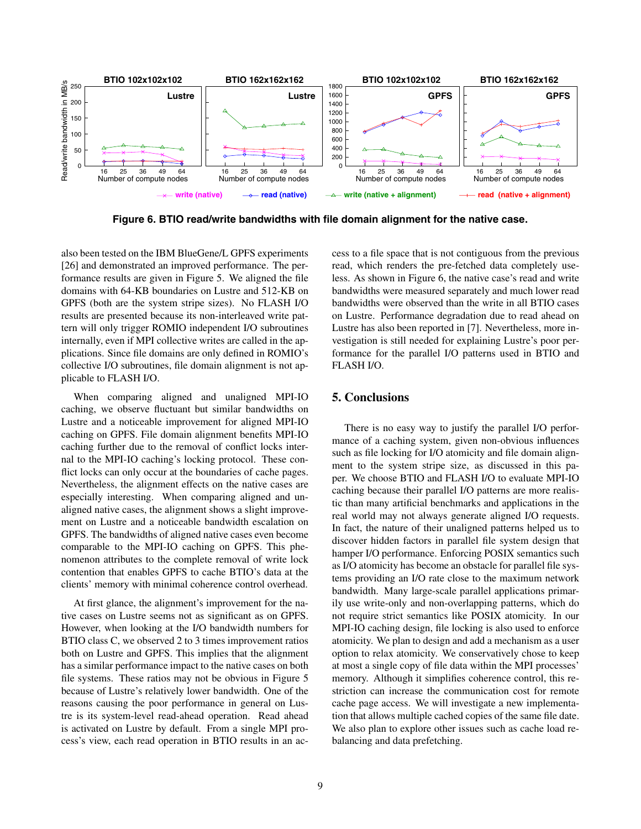

**Figure 6. BTIO read/write bandwidths with file domain alignment for the native case.**

also been tested on the IBM BlueGene/L GPFS experiments [26] and demonstrated an improved performance. The performance results are given in Figure 5. We aligned the file domains with 64-KB boundaries on Lustre and 512-KB on GPFS (both are the system stripe sizes). No FLASH I/O results are presented because its non-interleaved write pattern will only trigger ROMIO independent I/O subroutines internally, even if MPI collective writes are called in the applications. Since file domains are only defined in ROMIO's collective I/O subroutines, file domain alignment is not applicable to FLASH I/O.

When comparing aligned and unaligned MPI-IO caching, we observe fluctuant but similar bandwidths on Lustre and a noticeable improvement for aligned MPI-IO caching on GPFS. File domain alignment benefits MPI-IO caching further due to the removal of conflict locks internal to the MPI-IO caching's locking protocol. These conflict locks can only occur at the boundaries of cache pages. Nevertheless, the alignment effects on the native cases are especially interesting. When comparing aligned and unaligned native cases, the alignment shows a slight improvement on Lustre and a noticeable bandwidth escalation on GPFS. The bandwidths of aligned native cases even become comparable to the MPI-IO caching on GPFS. This phenomenon attributes to the complete removal of write lock contention that enables GPFS to cache BTIO's data at the clients' memory with minimal coherence control overhead.

At first glance, the alignment's improvement for the native cases on Lustre seems not as significant as on GPFS. However, when looking at the I/O bandwidth numbers for BTIO class C, we observed 2 to 3 times improvement ratios both on Lustre and GPFS. This implies that the alignment has a similar performance impact to the native cases on both file systems. These ratios may not be obvious in Figure 5 because of Lustre's relatively lower bandwidth. One of the reasons causing the poor performance in general on Lustre is its system-level read-ahead operation. Read ahead is activated on Lustre by default. From a single MPI process's view, each read operation in BTIO results in an access to a file space that is not contiguous from the previous read, which renders the pre-fetched data completely useless. As shown in Figure 6, the native case's read and write bandwidths were measured separately and much lower read bandwidths were observed than the write in all BTIO cases on Lustre. Performance degradation due to read ahead on Lustre has also been reported in [7]. Nevertheless, more investigation is still needed for explaining Lustre's poor performance for the parallel I/O patterns used in BTIO and FLASH I/O.

# **5. Conclusions**

There is no easy way to justify the parallel I/O performance of a caching system, given non-obvious influences such as file locking for I/O atomicity and file domain alignment to the system stripe size, as discussed in this paper. We choose BTIO and FLASH I/O to evaluate MPI-IO caching because their parallel I/O patterns are more realistic than many artificial benchmarks and applications in the real world may not always generate aligned I/O requests. In fact, the nature of their unaligned patterns helped us to discover hidden factors in parallel file system design that hamper I/O performance. Enforcing POSIX semantics such as I/O atomicity has become an obstacle for parallel file systems providing an I/O rate close to the maximum network bandwidth. Many large-scale parallel applications primarily use write-only and non-overlapping patterns, which do not require strict semantics like POSIX atomicity. In our MPI-IO caching design, file locking is also used to enforce atomicity. We plan to design and add a mechanism as a user option to relax atomicity. We conservatively chose to keep at most a single copy of file data within the MPI processes' memory. Although it simplifies coherence control, this restriction can increase the communication cost for remote cache page access. We will investigate a new implementation that allows multiple cached copies of the same file date. We also plan to explore other issues such as cache load rebalancing and data prefetching.